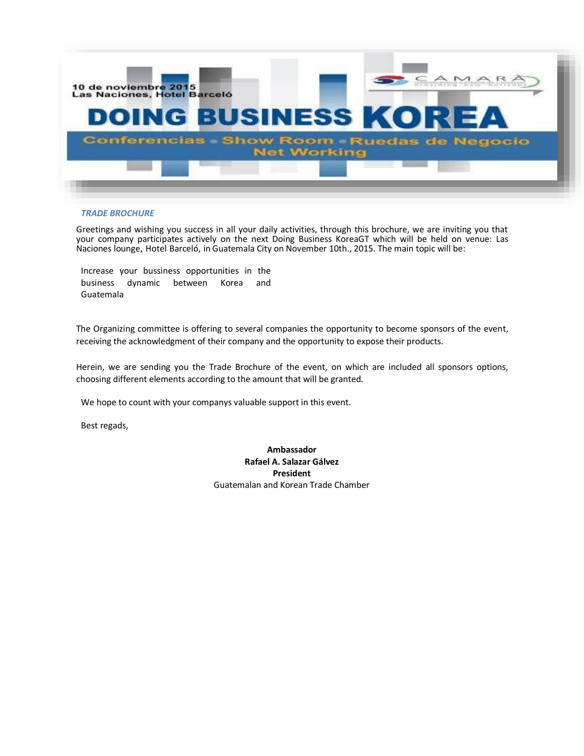

#### *TRADE BROCHURE*

Greetings and wishing you success in all your daily activities, through this brochure, we are inviting you that your company participates actively on the next Doing Business KoreaGT which will be held on venue: Las Naciones lounge, Hotel Barceló, in Guatemala City on November 10th., 2015. The main topic will be:

Increase your bussiness opportunities in the business dynamic between Korea and Guatemala

The Organizing committee is offering to several companies the opportunity to become sponsors of the event, receiving the acknowledgment of their company and the opportunity to expose their products.

Herein, we are sending you the Trade Brochure of the event, on which are included all sponsors options, choosing different elements according to the amount that will be granted.

We hope to count with your companys valuable support in this event.

Best regads,

**Ambassador Rafael A. Salazar Gálvez President** Guatemalan and Korean Trade Chamber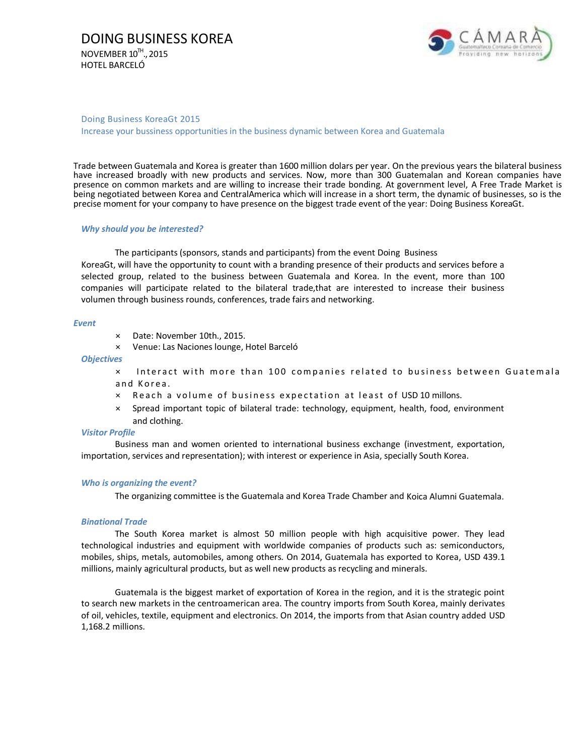

#### Doing Business KoreaGt 2015

Increase your bussiness opportunities in the business dynamic between Korea and Guatemala

Trade between Guatemala and Korea is greater than 1600 million dolars per year. On the previous years the bilateral business have increased broadly with new products and services. Now, more than 300 Guatemalan and Korean companies have presence on common markets and are willing to increase their trade bonding. At government level, A Free Trade Market is being negotiated between Korea and CentralAmerica which will increase in a short term, the dynamic of businesses, so is the precise moment for your company to have presence on the biggest trade event of the year: Doing Business KoreaGt.

#### *Why should you be interested?*

The participants (sponsors, stands and participants) from the event Doing Business KoreaGt, will have the opportunity to count with a branding presence of their products and services before a selected group, related to the business between Guatemala and Korea. In the event, more than 100 companies will participate related to the bilateral trade,that are interested to increase their business volumen through business rounds, conferences, trade fairs and networking.

#### *Event*

- × Date: November 10th., 2015.
- × Venue: Las Naciones lounge, Hotel Barceló

*Objectives*

 $\times$  Interact with more than 100 companies related to business between Guatemala and Korea.

- $\times$  Reach a volume of business expectation at least of USD 10 millons.
- × Spread important topic of bilateral trade: technology, equipment, health, food, environment and clothing.

#### *Visitor Profile*

Business man and women oriented to international business exchange (investment, exportation, importation, services and representation); with interest or experience in Asia, specially South Korea.

#### *Who is organizing the event?*

The organizing committee is the Guatemala and Korea Trade Chamber and Koica Alumni Guatemala.

#### *Binational Trade*

The South Korea market is almost 50 million people with high acquisitive power. They lead technological industries and equipment with worldwide companies of products such as: semiconductors, mobiles, ships, metals, automobiles, among others. On 2014, Guatemala has exported to Korea, USD 439.1 millions, mainly agricultural products, but as well new products as recycling and minerals.

Guatemala is the biggest market of exportation of Korea in the region, and it is the strategic point to search new markets in the centroamerican area. The country imports from South Korea, mainly derivates of oil, vehicles, textile, equipment and electronics. On 2014, the imports from that Asian country added USD 1,168.2 millions.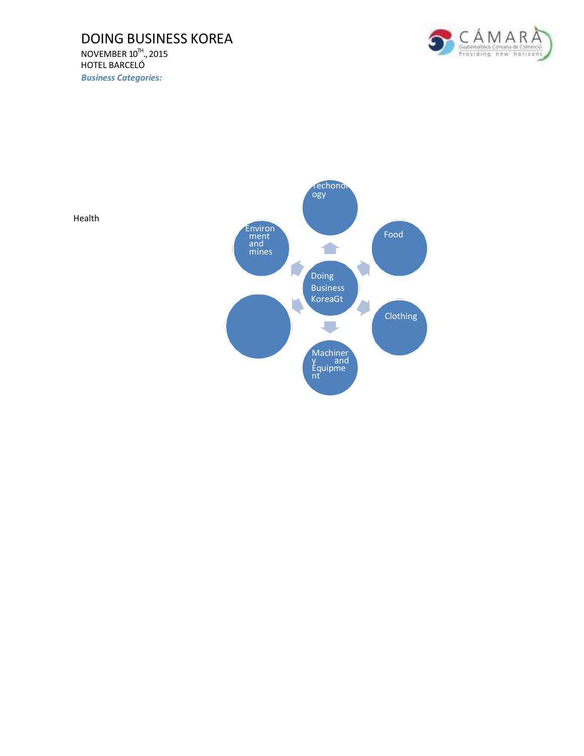### DOING BUSINESS KOREA NOVEMBER  $10^{\text{Th}}$ ., 2015 HOTEL BARCELÓ *Business Categories:*





Health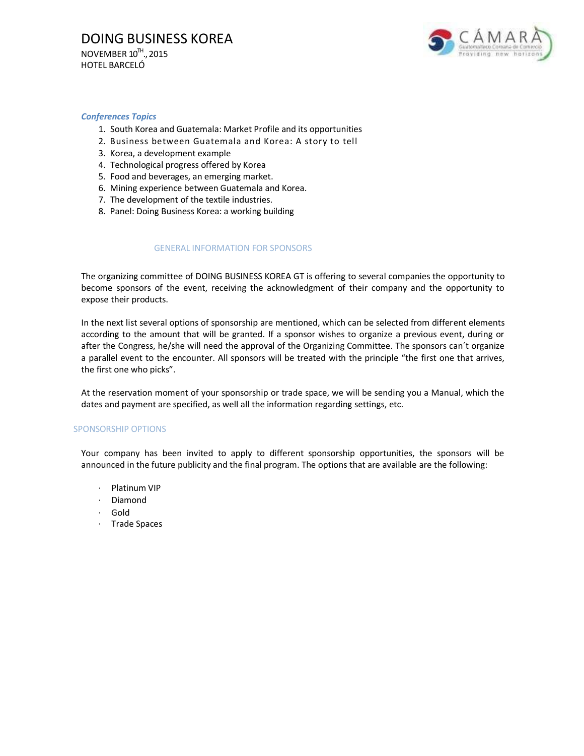

#### *Conferences Topics*

- 1. South Korea and Guatemala: Market Profile and its opportunities
- 2. Business between Guatemala and Korea: A story to tell
- 3. Korea, a development example
- 4. Technological progress offered by Korea
- 5. Food and beverages, an emerging market.
- 6. Mining experience between Guatemala and Korea.
- 7. The development of the textile industries.
- 8. Panel: Doing Business Korea: a working building

#### GENERAL INFORMATION FOR SPONSORS

The organizing committee of DOING BUSINESS KOREA GT is offering to several companies the opportunity to become sponsors of the event, receiving the acknowledgment of their company and the opportunity to expose their products.

In the next list several options of sponsorship are mentioned, which can be selected from different elements according to the amount that will be granted. If a sponsor wishes to organize a previous event, during or after the Congress, he/she will need the approval of the Organizing Committee. The sponsors can´t organize a parallel event to the encounter. All sponsors will be treated with the principle "the first one that arrives, the first one who picks".

At the reservation moment of your sponsorship or trade space, we will be sending you a Manual, which the dates and payment are specified, as well all the information regarding settings, etc.

#### SPONSORSHIP OPTIONS

Your company has been invited to apply to different sponsorship opportunities, the sponsors will be announced in the future publicity and the final program. The options that are available are the following:

- Platinum VIP
- · Diamond
- · Gold
- · Trade Spaces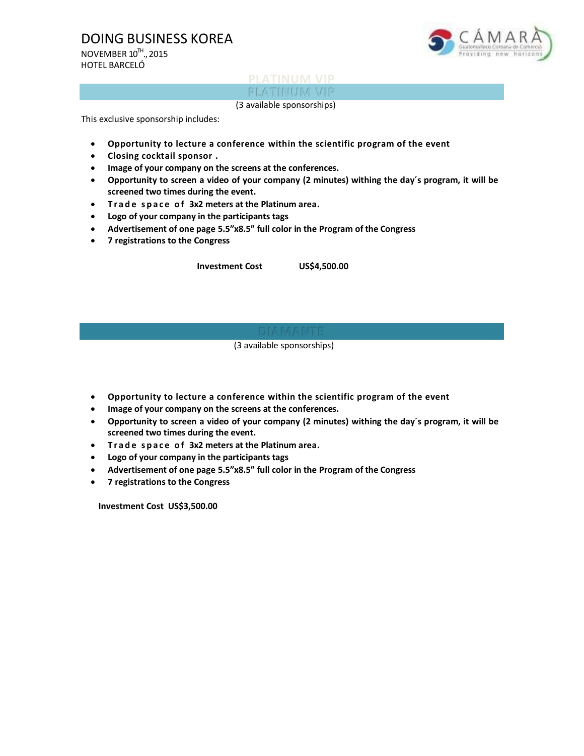## DOING BUSINESS KOREA

NOVEMBER  $10^{\text{Th}}$ ., 2015 HOTEL BARCELÓ



# **PLATINUM VIP**

(3 available sponsorships)

This exclusive sponsorship includes:

- **Opportunity to lecture a conference within the scientific program of the event**
- **Closing cocktail sponsor .**
- **Image of your company on the screens at the conferences.**
- **Opportunity to screen a video of your company (2 minutes) withing the day´s program, it will be screened two times during the event.**
- **T r a d e s p a c e o f 3x2 meters at the Platinum area.**
- **Logo of your company in the participants tags**
- **Advertisement of one page 5.5"x8.5" full color in the Program of the Congress**
- **7 registrations to the Congress**

**Investment Cost US\$4,500.00**

(3 available sponsorships)

- **Opportunity to lecture a conference within the scientific program of the event**
- **Image of your company on the screens at the conferences.**
- **Opportunity to screen a video of your company (2 minutes) withing the day´s program, it will be screened two times during the event.**
- **T r a d e s p a c e o f 3x2 meters at the Platinum area.**
- **Logo of your company in the participants tags**
- **Advertisement of one page 5.5"x8.5" full color in the Program of the Congress**
- **7 registrations to the Congress**

**Investment Cost US\$3,500.00**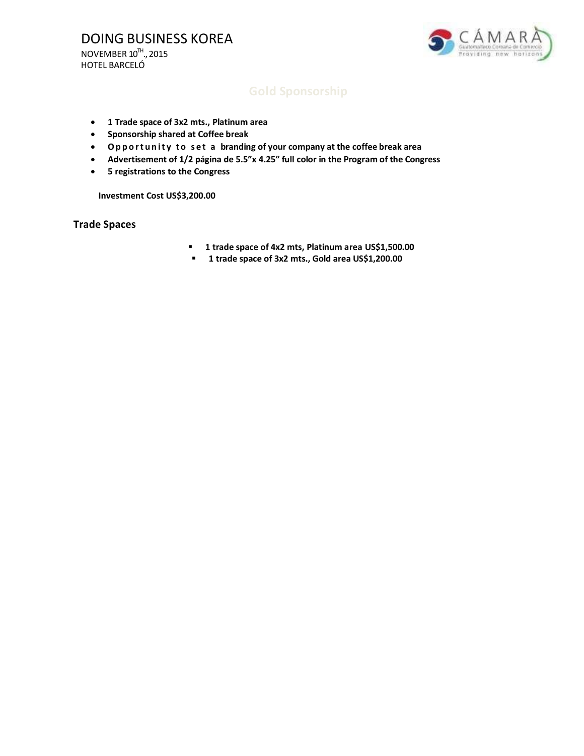

- **1 Trade space of 3x2 mts., Platinum area**
- **Sponsorship shared at Coffee break**
- **O p p o r t u n i t y t o s e t a branding of your company at the coffee break area**
- **Advertisement of 1/2 página de 5.5"x 4.25" full color in the Program of the Congress**
- **5 registrations to the Congress**

**Investment Cost US\$3,200.00**

### **Trade Spaces**

- **1 trade space of 4x2 mts, Platinum area US\$1,500.00**
- **1 trade space of 3x2 mts., Gold area US\$1,200.00**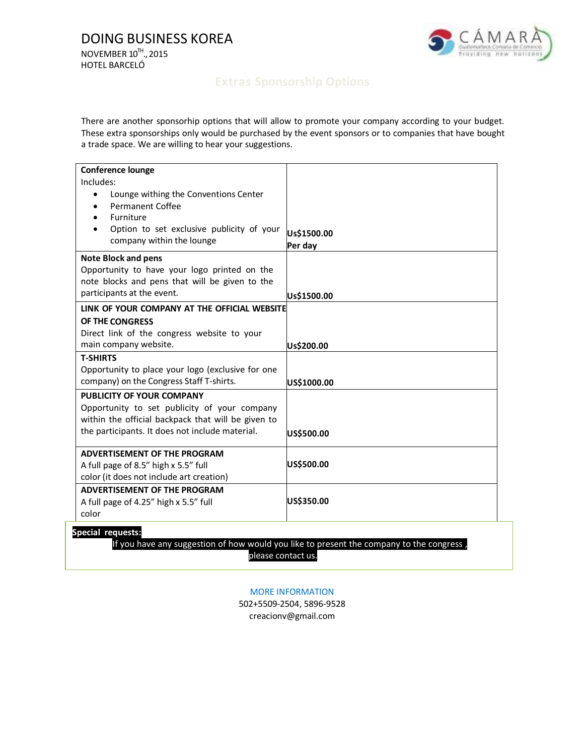

There are another sponsorhip options that will allow to promote your company according to your budget. These extra sponsorships only would be purchased by the event sponsors or to companies that have bought a trade space. We are willing to hear your suggestions.

| <b>Conference lounge</b><br>Includes:                                                                                        |                        |
|------------------------------------------------------------------------------------------------------------------------------|------------------------|
| Lounge withing the Conventions Center<br>$\bullet$<br><b>Permanent Coffee</b><br>Furniture                                   |                        |
| Option to set exclusive publicity of your<br>company within the lounge                                                       | Us\$1500.00<br>Per day |
| <b>Note Block and pens</b><br>Opportunity to have your logo printed on the<br>note blocks and pens that will be given to the |                        |
| participants at the event.                                                                                                   | Us\$1500.00            |
| LINK OF YOUR COMPANY AT THE OFFICIAL WEBSITE                                                                                 |                        |
| OF THE CONGRESS                                                                                                              |                        |
| Direct link of the congress website to your                                                                                  |                        |
| main company website.                                                                                                        | Us\$200.00             |
| <b>T-SHIRTS</b><br>Opportunity to place your logo (exclusive for one<br>company) on the Congress Staff T-shirts.             | US\$1000.00            |
| PUBLICITY OF YOUR COMPANY                                                                                                    |                        |
| Opportunity to set publicity of your company                                                                                 |                        |
| within the official backpack that will be given to                                                                           |                        |
| the participants. It does not include material.                                                                              | US\$500.00             |
| <b>ADVERTISEMENT OF THE PROGRAM</b>                                                                                          |                        |
| A full page of 8.5" high x 5.5" full                                                                                         | US\$500.00             |
| color (it does not include art creation)                                                                                     |                        |
| ADVERTISEMENT OF THE PROGRAM                                                                                                 |                        |
| A full page of 4.25" high x 5.5" full                                                                                        | US\$350.00             |
| color                                                                                                                        |                        |

If you have any suggestion of how would you like to present the company to the congress, please contact us.

#### MORE INFORMATION

502+5509-2504, 5896-9528 [creacionv@gmail.com](mailto:creacionv@gmail.com)